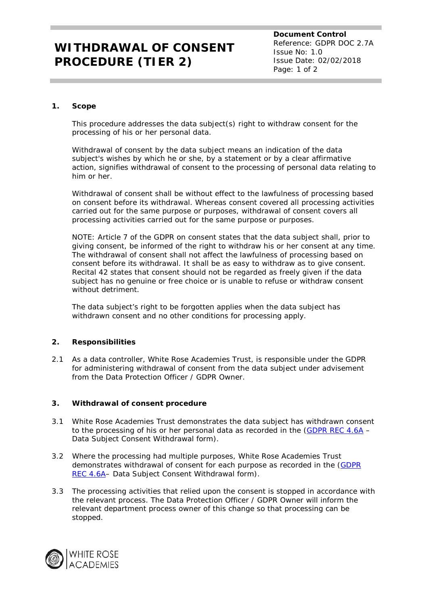## **WITHDRAWAL OF CONSENT PROCEDURE (TIER 2)**

**Document Control** Reference: GDPR DOC 2.7A Issue No: 1.0 Issue Date: 02/02/2018 Page: 1 of 2

### **1. Scope**

This procedure addresses the data subject(s) right to withdraw consent for the processing of his or her personal data.

Withdrawal of consent by the data subject means an indication of the data subject's wishes by which he or she, by a statement or by a clear affirmative action, signifies withdrawal of consent to the processing of personal data relating to him or her.

Withdrawal of consent shall be without effect to the lawfulness of processing based on consent before its withdrawal. Whereas consent covered all processing activities carried out for the same purpose or purposes, withdrawal of consent covers all processing activities carried out for the same purpose or purposes.

NOTE: Article 7 of the GDPR on consent states that the data subject shall, prior to giving consent, be informed of the right to withdraw his or her consent at any time. The withdrawal of consent shall not affect the lawfulness of processing based on consent before its withdrawal. It shall be as easy to withdraw as to give consent. Recital 42 states that consent should not be regarded as freely given if the data subject has no genuine or free choice or is unable to refuse or withdraw consent without detriment

The data subject's right to be forgotten applies when the data subject has withdrawn consent and no other conditions for processing apply.

## **2. Responsibilities**

2.1 As a data controller, White Rose Academies Trust, is responsible under the GDPR for administering withdrawal of consent from the data subject under advisement from the Data Protection Officer / GDPR Owner.

### **3. Withdrawal of consent procedure**

- 3.1 White Rose Academies Trust demonstrates the data subject has withdrawn consent to the processing of his or her personal data as recorded in the  $(GDPR REC 4.6A -$ Data Subject Consent Withdrawal form).
- 3.2 Where the processing had multiple purposes, White Rose Academies Trust demonstrates withdrawal of consent for each purpose as recorded in the (GDPR REC 4.6A– Data Subject Consent Withdrawal form).
- 3.3 The processing activities that relied upon the consent is stopped in accordance with the relevant process. The Data Protection Officer / GDPR Owner will inform the relevant department process owner of this change so that processing can be stopped.